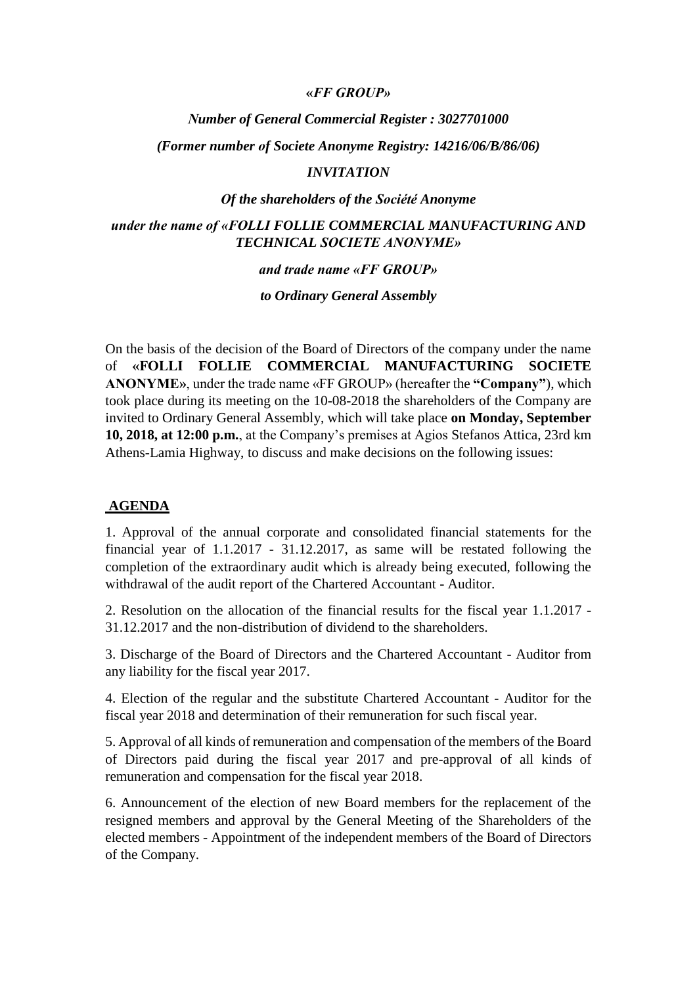#### **«***FF GROUP»*

# *Νumber of General Commercial Register : 3027701000*

*(Former number οf Societe Anonyme Registry: 14216/06/B/86/06)*

#### *INVITATION*

#### *Οf the shareholders of the Société Anonyme*

## *under the name of «FOLLI FOLLIE COMMERCIAL MANUFACTURING AND TECHNICAL SOCIETE ANONYME»*

#### *and trade name «FF GROUP»*

*to Ordinary General Assembly*

On the basis of the decision of the Board of Directors of the company under the name of **«FOLLI FOLLIE COMMERCIAL MANUFACTURING SOCIETE ANONYME»**, under the trade name «FF GROUP» (hereafter the **"Company"**), which took place during its meeting on the 10-08-2018 the shareholders of the Company are invited to Ordinary General Assembly, which will take place **on Monday, September 10, 2018, at 12:00 p.m.**, at the Company's premises at Agios Stefanos Attica, 23rd km Athens-Lamia Highway, to discuss and make decisions on the following issues:

#### **AGENDA**

1. Approval of the annual corporate and consolidated financial statements for the financial year of 1.1.2017 - 31.12.2017, as same will be restated following the completion of the extraordinary audit which is already being executed, following the withdrawal of the audit report of the Chartered Accountant - Auditor.

2. Resolution on the allocation of the financial results for the fiscal year 1.1.2017 - 31.12.2017 and the non-distribution of dividend to the shareholders.

3. Discharge of the Board of Directors and the Chartered Accountant - Auditor from any liability for the fiscal year 2017.

4. Election of the regular and the substitute Chartered Accountant - Auditor for the fiscal year 2018 and determination of their remuneration for such fiscal year.

5. Approval of all kinds of remuneration and compensation of the members of the Board of Directors paid during the fiscal year 2017 and pre-approval of all kinds of remuneration and compensation for the fiscal year 2018.

6. Announcement of the election of new Board members for the replacement of the resigned members and approval by the General Meeting of the Shareholders of the elected members - Appointment of the independent members of the Board of Directors of the Company.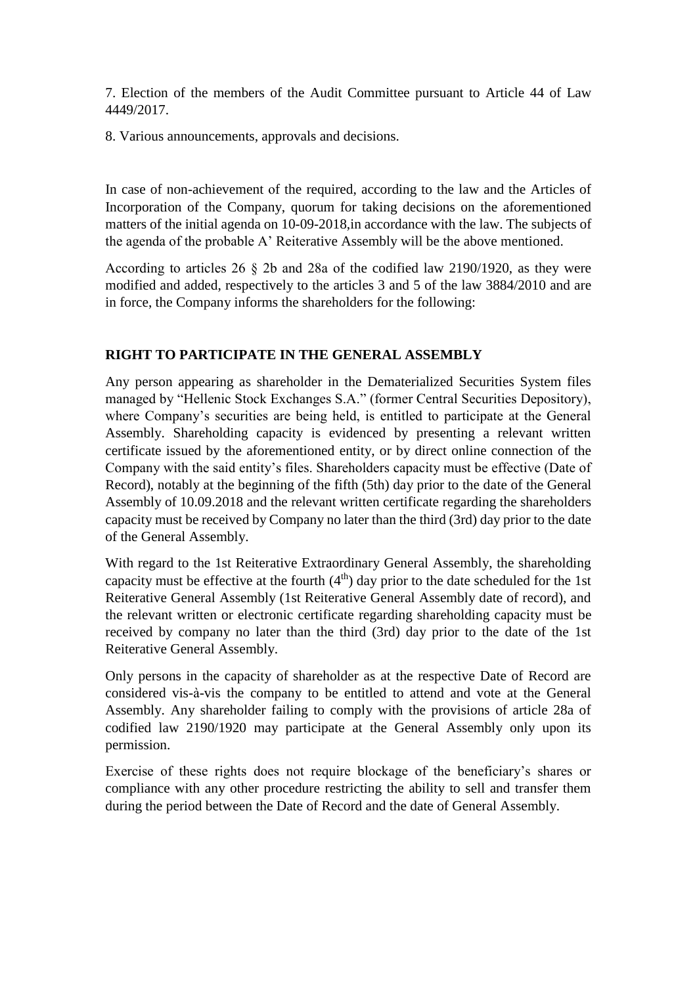7. Election of the members of the Audit Committee pursuant to Article 44 of Law 4449/2017.

8. Various announcements, approvals and decisions.

In case of non-achievement οf the required, according to the law and the Articles of Incorporation of the Company, quorum for taking decisions on the aforementioned matters of the initial agenda on 10-09-2018,in accordance with the law. The subjects of the agenda of the probable A' Reiterative Assembly will be the above mentioned.

According to articles 26 § 2b and 28a οf the codified law 2190/1920, as they were modified and added, respectively to the articles 3 and 5 of the law 3884/2010 and are in force, the Company informs the shareholders for the following:

## **RIGHT TO PARTICIPATE IN THE GENERAL ASSEMBLY**

Any person appearing as shareholder in the Dematerialized Securities System files managed by "Hellenic Stock Exchanges S.A." (former Central Securities Depository), where Company's securities are being held, is entitled to participate at the General Assembly. Shareholding capacity is evidenced by presenting a relevant written certificate issued by the aforementioned entity, or by direct online connection of the Company with the said entity's files. Shareholders capacity must be effective (Date of Record), notably at the beginning of the fifth (5th) day prior to the date of the General Assembly of 10.09.2018 and the relevant written certificate regarding the shareholders capacity must be received by Company no later than the third (3rd) day prior to the date of the General Assembly.

With regard to the 1st Reiterative Extraordinary General Assembly, the shareholding capacity must be effective at the fourth  $(4<sup>th</sup>)$  day prior to the date scheduled for the 1st Reiterative General Assembly (1st Reiterative General Assembly date of record), and the relevant written or electronic certificate regarding shareholding capacity must be received by company no later than the third (3rd) day prior to the date of the 1st Reiterative General Assembly.

Only persons in the capacity of shareholder as at the respective Date of Record are considered vis-à-vis the company to be entitled to attend and vote at the General Assembly. Any shareholder failing to comply with the provisions of article 28a of codified law 2190/1920 may participate at the General Assembly only upon its permission.

Exercise of these rights does not require blockage of the beneficiary's shares or compliance with any other procedure restricting the ability to sell and transfer them during the period between the Date of Record and the date of General Assembly.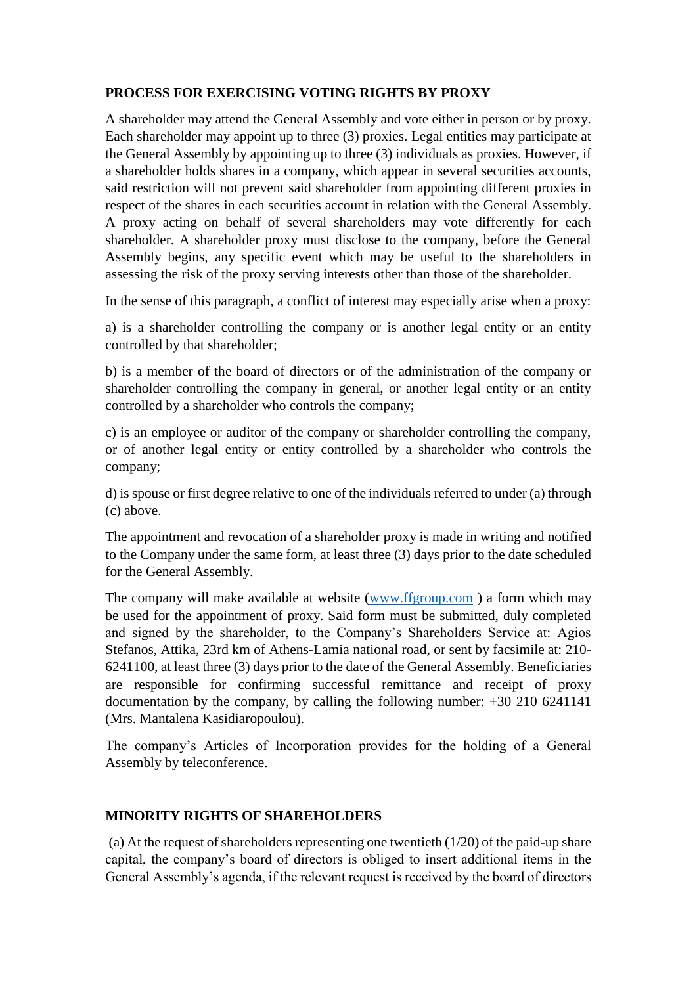## **PROCESS FOR EXERCISING VOTING RIGHTS BY PROXY**

A shareholder may attend the General Assembly and vote either in person or by proxy. Each shareholder may appoint up to three (3) proxies. Legal entities may participate at the General Assembly by appointing up to three (3) individuals as proxies. However, if a shareholder holds shares in a company, which appear in several securities accounts, said restriction will not prevent said shareholder from appointing different proxies in respect of the shares in each securities account in relation with the General Assembly. A proxy acting on behalf of several shareholders may vote differently for each shareholder. A shareholder proxy must disclose to the company, before the General Assembly begins, any specific event which may be useful to the shareholders in assessing the risk of the proxy serving interests other than those of the shareholder.

In the sense of this paragraph, a conflict of interest may especially arise when a proxy:

a) is a shareholder controlling the company or is another legal entity or an entity controlled by that shareholder;

b) is a member of the board of directors or of the administration of the company or shareholder controlling the company in general, or another legal entity or an entity controlled by a shareholder who controls the company;

c) is an employee or auditor of the company or shareholder controlling the company, or of another legal entity or entity controlled by a shareholder who controls the company;

d) is spouse or first degree relative to one of the individuals referred to under (a) through (c) above.

The appointment and revocation of a shareholder proxy is made in writing and notified to the Company under the same form, at least three (3) days prior to the date scheduled for the General Assembly.

The company will make available at website [\(www.ffgroup.com](http://www.ffgroup.com/) ) a form which may be used for the appointment of proxy. Said form must be submitted, duly completed and signed by the shareholder, to the Company's Shareholders Service at: Agios Stefanos, Attika, 23rd km of Athens-Lamia national road, or sent by facsimile at: 210- 6241100, at least three (3) days prior to the date of the General Assembly. Beneficiaries are responsible for confirming successful remittance and receipt of proxy documentation by the company, by calling the following number: +30 210 6241141 (Mrs. Mantalena Kasidiaropoulou).

The company's Articles of Incorporation provides for the holding of a General Assembly by teleconference.

## **MINORITY RIGHTS OF SHAREHOLDERS**

(a) At the request of shareholders representing one twentieth (1/20) of the paid-up share capital, the company's board of directors is obliged to insert additional items in the General Assembly's agenda, if the relevant request is received by the board of directors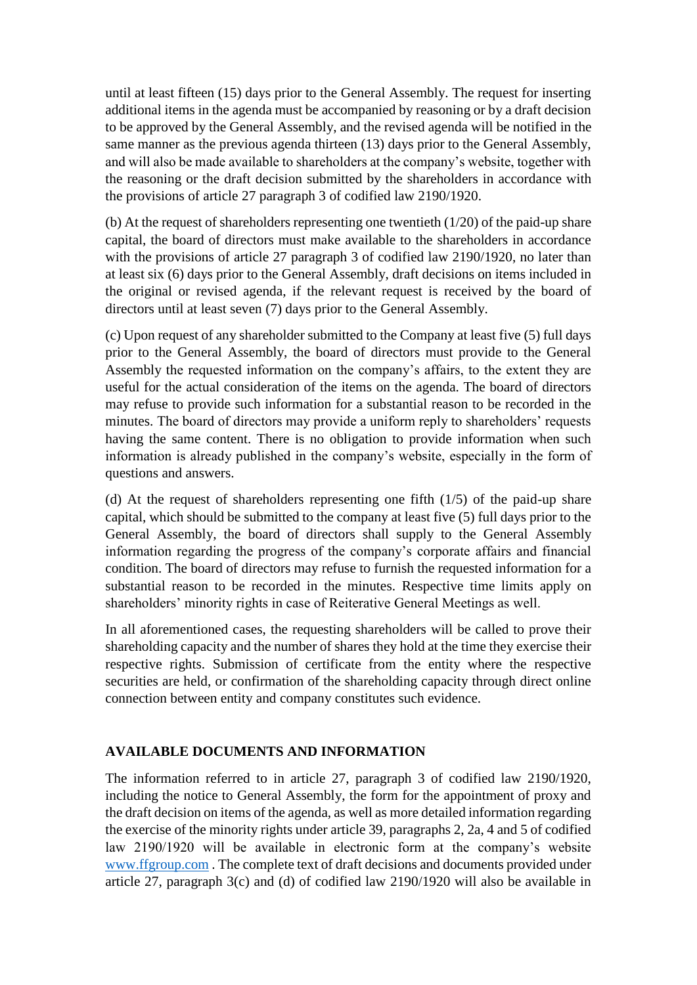until at least fifteen (15) days prior to the General Assembly. The request for inserting additional items in the agenda must be accompanied by reasoning or by a draft decision to be approved by the General Assembly, and the revised agenda will be notified in the same manner as the previous agenda thirteen (13) days prior to the General Assembly, and will also be made available to shareholders at the company's website, together with the reasoning or the draft decision submitted by the shareholders in accordance with the provisions of article 27 paragraph 3 of codified law 2190/1920.

(b) At the request of shareholders representing one twentieth (1/20) of the paid-up share capital, the board of directors must make available to the shareholders in accordance with the provisions of article 27 paragraph 3 of codified law 2190/1920, no later than at least six (6) days prior to the General Assembly, draft decisions on items included in the original or revised agenda, if the relevant request is received by the board of directors until at least seven (7) days prior to the General Assembly.

(c) Upon request of any shareholder submitted to the Company at least five (5) full days prior to the General Assembly, the board of directors must provide to the General Assembly the requested information on the company's affairs, to the extent they are useful for the actual consideration of the items on the agenda. The board of directors may refuse to provide such information for a substantial reason to be recorded in the minutes. The board of directors may provide a uniform reply to shareholders' requests having the same content. There is no obligation to provide information when such information is already published in the company's website, especially in the form of questions and answers.

(d) At the request of shareholders representing one fifth (1/5) of the paid-up share capital, which should be submitted to the company at least five (5) full days prior to the General Assembly, the board of directors shall supply to the General Assembly information regarding the progress of the company's corporate affairs and financial condition. The board of directors may refuse to furnish the requested information for a substantial reason to be recorded in the minutes. Respective time limits apply on shareholders' minority rights in case of Reiterative General Meetings as well.

In all aforementioned cases, the requesting shareholders will be called to prove their shareholding capacity and the number of shares they hold at the time they exercise their respective rights. Submission of certificate from the entity where the respective securities are held, or confirmation of the shareholding capacity through direct online connection between entity and company constitutes such evidence.

# **AVAILABLE DOCUMENTS AND INFORMATION**

The information referred to in article 27, paragraph 3 of codified law 2190/1920, including the notice to General Assembly, the form for the appointment of proxy and the draft decision on items of the agenda, as well as more detailed information regarding the exercise of the minority rights under article 39, paragraphs 2, 2a, 4 and 5 of codified law 2190/1920 will be available in electronic form at the company's website [www.ffgroup.com](http://www.ffgroup.com/) . The complete text of draft decisions and documents provided under article 27, paragraph 3(c) and (d) of codified law 2190/1920 will also be available in